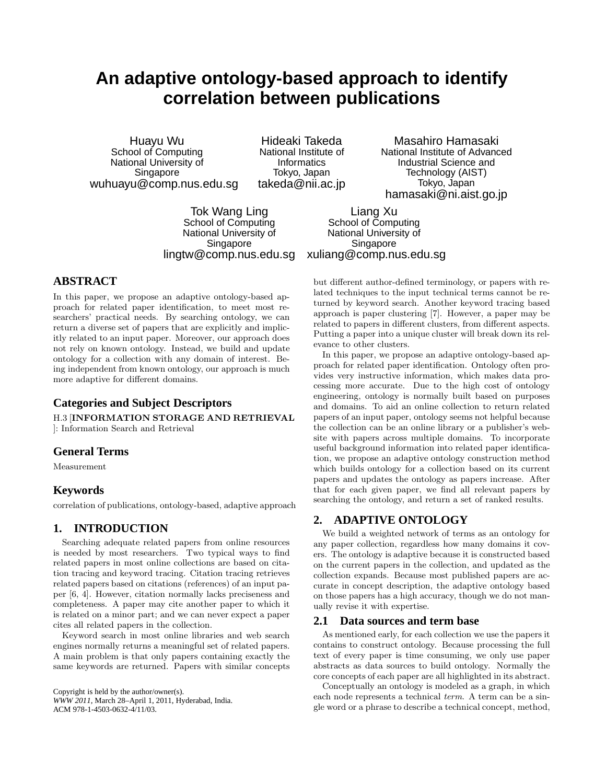# **An adaptive ontology-based approach to identify correlation between publications**

Huayu Wu School of Computing National University of Singapore wuhuayu@comp.nus.edu.sg

Hideaki Takeda National Institute of **Informatics** Tokyo, Japan takeda@nii.ac.jp

Masahiro Hamasaki National Institute of Advanced Industrial Science and Technology (AIST) Tokyo, Japan hamasaki@ni.aist.go.jp

Tok Wang Ling School of Computing National University of Singapore lingtw@comp.nus.edu.sg

Liang Xu School of Computing National University of **Singapore** xuliang@comp.nus.edu.sg

## **ABSTRACT**

In this paper, we propose an adaptive ontology-based approach for related paper identification, to meet most researchers' practical needs. By searching ontology, we can return a diverse set of papers that are explicitly and implicitly related to an input paper. Moreover, our approach does not rely on known ontology. Instead, we build and update ontology for a collection with any domain of interest. Being independent from known ontology, our approach is much more adaptive for different domains.

# **Categories and Subject Descriptors**

H.3 [**INFORMATION STORAGE AND RETRIEVAL** ]: Information Search and Retrieval

### **General Terms**

Measurement

## **Keywords**

correlation of publications, ontology-based, adaptive approach

## **1. INTRODUCTION**

Searching adequate related papers from online resources is needed by most researchers. Two typical ways to find related papers in most online collections are based on citation tracing and keyword tracing. Citation tracing retrieves related papers based on citations (references) of an input paper [6, 4]. However, citation normally lacks preciseness and completeness. A paper may cite another paper to which it is related on a minor part; and we can never expect a paper cites all related papers in the collection.

Keyword search in most online libraries and web search engines normally returns a meaningful set of related papers. A main problem is that only papers containing exactly the same keywords are returned. Papers with similar concepts

Copyright is held by the author/owner(s). *WWW 2011,* March 28–April 1, 2011, Hyderabad, India. ACM 978-1-4503-0632-4/11/03.

but different author-defined terminology, or papers with related techniques to the input technical terms cannot be returned by keyword search. Another keyword tracing based approach is paper clustering [7]. However, a paper may be related to papers in different clusters, from different aspects. Putting a paper into a unique cluster will break down its relevance to other clusters.

In this paper, we propose an adaptive ontology-based approach for related paper identification. Ontology often provides very instructive information, which makes data processing more accurate. Due to the high cost of ontology engineering, ontology is normally built based on purposes and domains. To aid an online collection to return related papers of an input paper, ontology seems not helpful because the collection can be an online library or a publisher's website with papers across multiple domains. To incorporate useful background information into related paper identification, we propose an adaptive ontology construction method which builds ontology for a collection based on its current papers and updates the ontology as papers increase. After that for each given paper, we find all relevant papers by searching the ontology, and return a set of ranked results.

# **2. ADAPTIVE ONTOLOGY**

We build a weighted network of terms as an ontology for any paper collection, regardless how many domains it covers. The ontology is adaptive because it is constructed based on the current papers in the collection, and updated as the collection expands. Because most published papers are accurate in concept description, the adaptive ontology based on those papers has a high accuracy, though we do not manually revise it with expertise.

### **2.1 Data sources and term base**

As mentioned early, for each collection we use the papers it contains to construct ontology. Because processing the full text of every paper is time consuming, we only use paper abstracts as data sources to build ontology. Normally the core concepts of each paper are all highlighted in its abstract.

Conceptually an ontology is modeled as a graph, in which each node represents a technical *term*. A term can be a single word or a phrase to describe a technical concept, method,